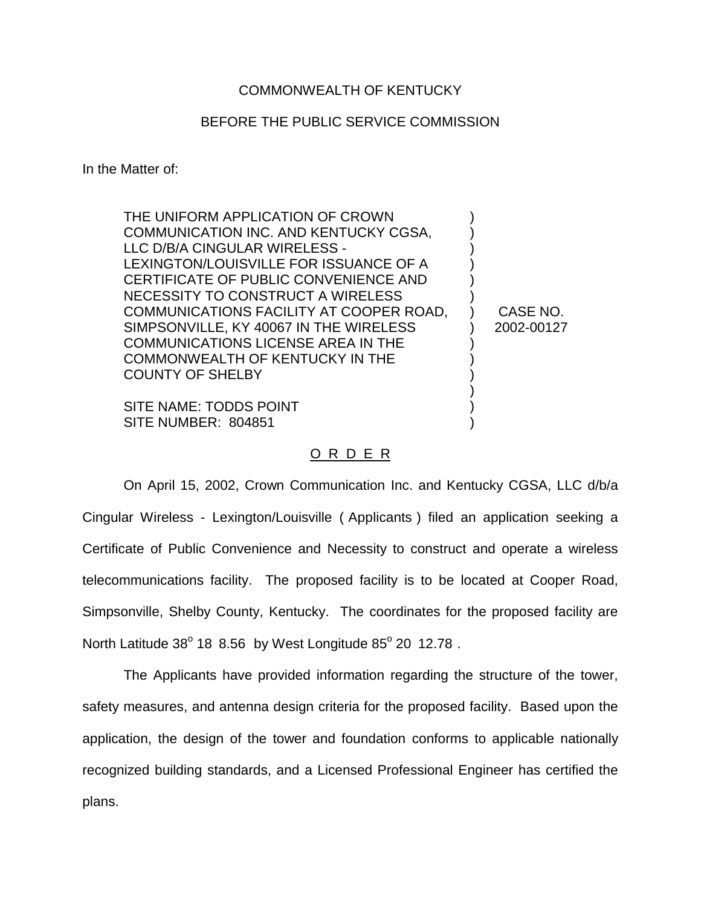## COMMONWEALTH OF KENTUCKY

## BEFORE THE PUBLIC SERVICE COMMISSION

In the Matter of:

| THE UNIFORM APPLICATION OF CROWN<br>COMMUNICATION INC. AND KENTUCKY CGSA,<br>LLC D/B/A CINGULAR WIRELESS -<br>LEXINGTON/LOUISVILLE FOR ISSUANCE OF A<br>CERTIFICATE OF PUBLIC CONVENIENCE AND<br>NECESSITY TO CONSTRUCT A WIRELESS<br>COMMUNICATIONS FACILITY AT COOPER ROAD,<br>SIMPSONVILLE, KY 40067 IN THE WIRELESS<br><b>COMMUNICATIONS LICENSE AREA IN THE</b><br>COMMONWEALTH OF KENTUCKY IN THE<br><b>COUNTY OF SHELBY</b> | CASE NO.<br>2002-00127 |
|------------------------------------------------------------------------------------------------------------------------------------------------------------------------------------------------------------------------------------------------------------------------------------------------------------------------------------------------------------------------------------------------------------------------------------|------------------------|
| SITE NAME: TODDS POINT<br>SITE NUMBER: 804851                                                                                                                                                                                                                                                                                                                                                                                      |                        |

## O R D E R

On April 15, 2002, Crown Communication Inc. and Kentucky CGSA, LLC d/b/a Cingular Wireless - Lexington/Louisville ( Applicants ) filed an application seeking a Certificate of Public Convenience and Necessity to construct and operate a wireless telecommunications facility. The proposed facility is to be located at Cooper Road, Simpsonville, Shelby County, Kentucky. The coordinates for the proposed facility are North Latitude  $38^{\circ}$  18 8.56 by West Longitude  $85^{\circ}$  20 12.78.

The Applicants have provided information regarding the structure of the tower, safety measures, and antenna design criteria for the proposed facility. Based upon the application, the design of the tower and foundation conforms to applicable nationally recognized building standards, and a Licensed Professional Engineer has certified the plans.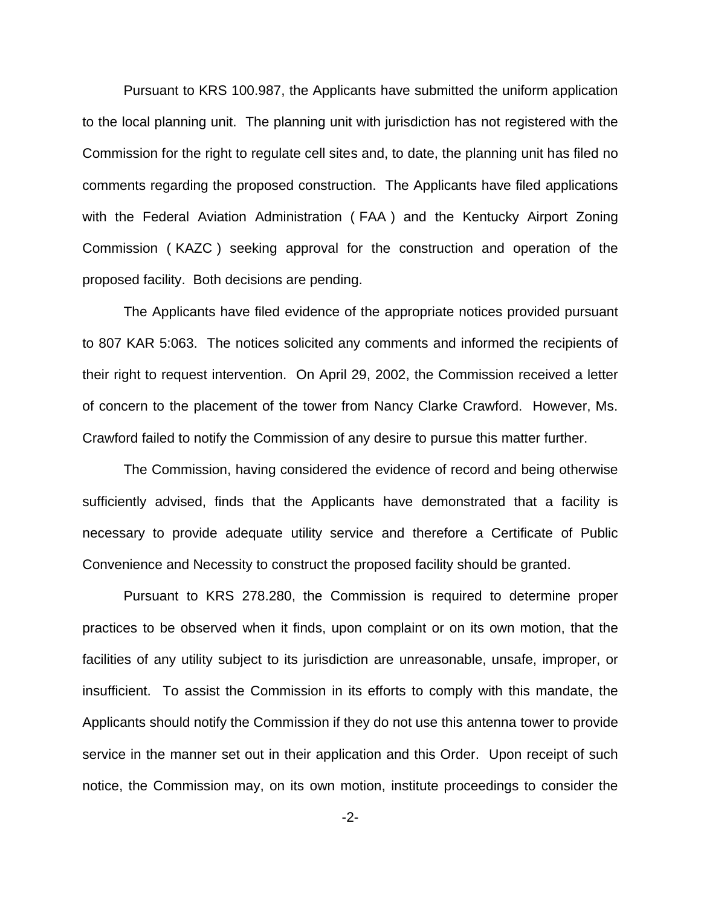Pursuant to KRS 100.987, the Applicants have submitted the uniform application to the local planning unit. The planning unit with jurisdiction has not registered with the Commission for the right to regulate cell sites and, to date, the planning unit has filed no comments regarding the proposed construction. The Applicants have filed applications with the Federal Aviation Administration ( FAA ) and the Kentucky Airport Zoning Commission ( KAZC ) seeking approval for the construction and operation of the proposed facility. Both decisions are pending.

The Applicants have filed evidence of the appropriate notices provided pursuant to 807 KAR 5:063. The notices solicited any comments and informed the recipients of their right to request intervention. On April 29, 2002, the Commission received a letter of concern to the placement of the tower from Nancy Clarke Crawford. However, Ms. Crawford failed to notify the Commission of any desire to pursue this matter further.

The Commission, having considered the evidence of record and being otherwise sufficiently advised, finds that the Applicants have demonstrated that a facility is necessary to provide adequate utility service and therefore a Certificate of Public Convenience and Necessity to construct the proposed facility should be granted.

Pursuant to KRS 278.280, the Commission is required to determine proper practices to be observed when it finds, upon complaint or on its own motion, that the facilities of any utility subject to its jurisdiction are unreasonable, unsafe, improper, or insufficient. To assist the Commission in its efforts to comply with this mandate, the Applicants should notify the Commission if they do not use this antenna tower to provide service in the manner set out in their application and this Order. Upon receipt of such notice, the Commission may, on its own motion, institute proceedings to consider the

-2-